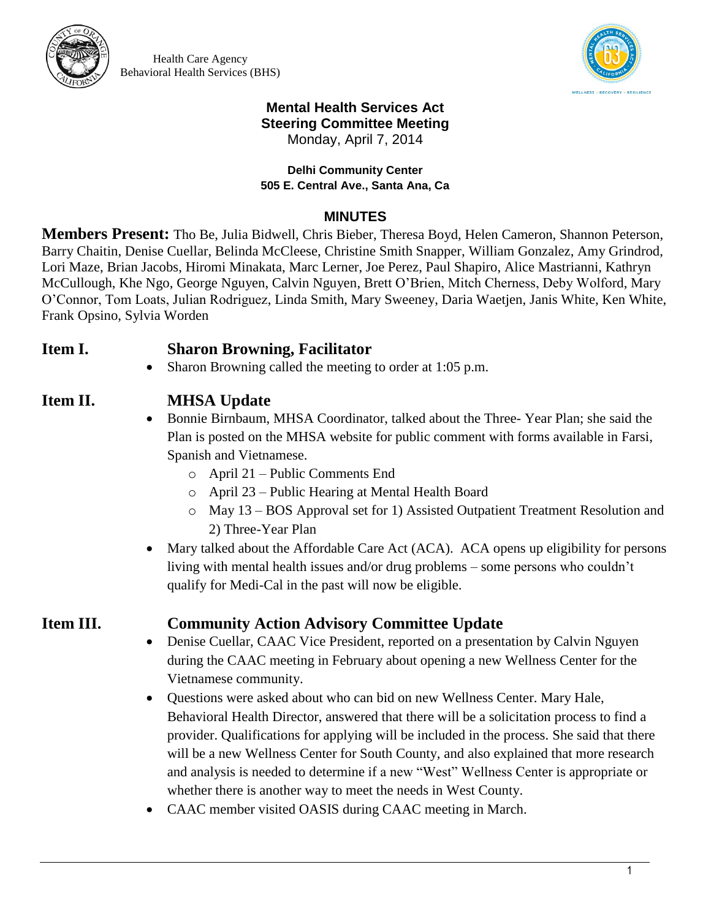

Health Care Agency Behavioral Health Services (BHS)



### **Mental Health Services Act Steering Committee Meeting**

Monday, April 7, 2014

### **Delhi Community Center 505 E. Central Ave., Santa Ana, Ca**

### **MINUTES**

**Members Present:** Tho Be, Julia Bidwell, Chris Bieber, Theresa Boyd, Helen Cameron, Shannon Peterson, Barry Chaitin, Denise Cuellar, Belinda McCleese, Christine Smith Snapper, William Gonzalez, Amy Grindrod, Lori Maze, Brian Jacobs, Hiromi Minakata, Marc Lerner, Joe Perez, Paul Shapiro, Alice Mastrianni, Kathryn McCullough, Khe Ngo, George Nguyen, Calvin Nguyen, Brett O'Brien, Mitch Cherness, Deby Wolford, Mary O'Connor, Tom Loats, Julian Rodriguez, Linda Smith, Mary Sweeney, Daria Waetjen, Janis White, Ken White, Frank Opsino, Sylvia Worden

## **Item I. Sharon Browning, Facilitator**

• Sharon Browning called the meeting to order at 1:05 p.m.

## **Item II. MHSA Update**

- Bonnie Birnbaum, MHSA Coordinator, talked about the Three- Year Plan; she said the Plan is posted on the MHSA website for public comment with forms available in Farsi, Spanish and Vietnamese.
	- o April 21 Public Comments End
	- o April 23 Public Hearing at Mental Health Board
	- o May 13 BOS Approval set for 1) Assisted Outpatient Treatment Resolution and 2) Three-Year Plan
- Mary talked about the Affordable Care Act (ACA). ACA opens up eligibility for persons living with mental health issues and/or drug problems – some persons who couldn't qualify for Medi-Cal in the past will now be eligible.

## **Item III. Community Action Advisory Committee Update**

- Denise Cuellar, CAAC Vice President, reported on a presentation by Calvin Nguyen during the CAAC meeting in February about opening a new Wellness Center for the Vietnamese community.
- Questions were asked about who can bid on new Wellness Center. Mary Hale, Behavioral Health Director, answered that there will be a solicitation process to find a provider. Qualifications for applying will be included in the process. She said that there will be a new Wellness Center for South County, and also explained that more research and analysis is needed to determine if a new "West" Wellness Center is appropriate or whether there is another way to meet the needs in West County.
- CAAC member visited OASIS during CAAC meeting in March.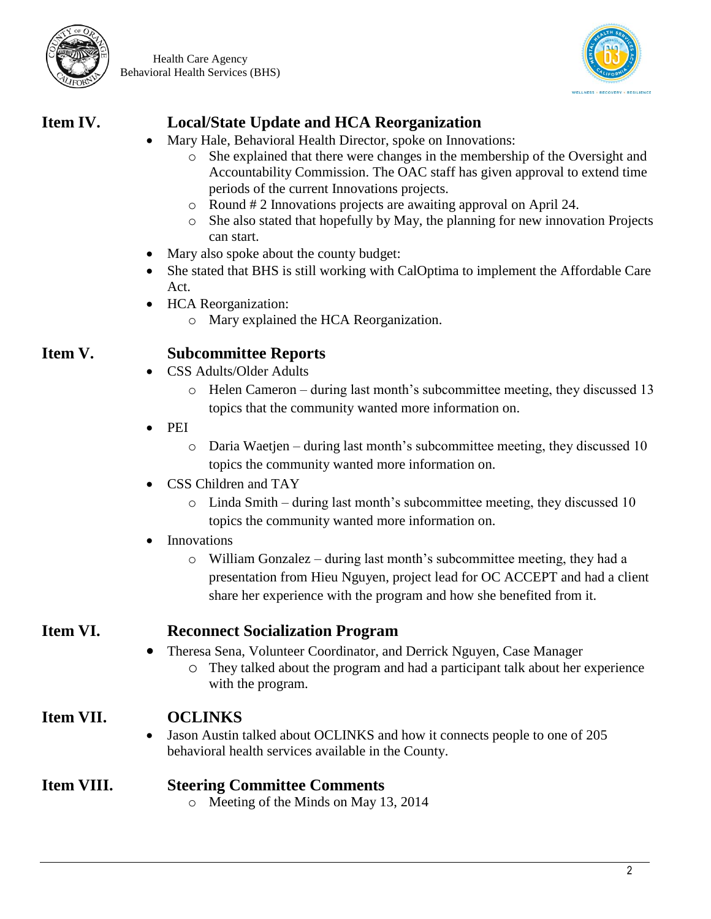

Health Care Agency Behavioral Health Services (BHS)



# **Item IV. Local/State Update and HCA Reorganization**

- Mary Hale, Behavioral Health Director, spoke on Innovations:
	- o She explained that there were changes in the membership of the Oversight and Accountability Commission. The OAC staff has given approval to extend time periods of the current Innovations projects.
	- o Round # 2 Innovations projects are awaiting approval on April 24.
	- o She also stated that hopefully by May, the planning for new innovation Projects can start.
- Mary also spoke about the county budget:
- She stated that BHS is still working with CalOptima to implement the Affordable Care Act.
- HCA Reorganization:
	- o Mary explained the HCA Reorganization.

## **Item V. Subcommittee Reports**

- CSS Adults/Older Adults
	- o Helen Cameron during last month's subcommittee meeting, they discussed 13 topics that the community wanted more information on.
- PEI
	- o Daria Waetjen during last month's subcommittee meeting, they discussed 10 topics the community wanted more information on.
- CSS Children and TAY
	- o Linda Smith during last month's subcommittee meeting, they discussed 10 topics the community wanted more information on.

### Innovations

o William Gonzalez – during last month's subcommittee meeting, they had a presentation from Hieu Nguyen, project lead for OC ACCEPT and had a client share her experience with the program and how she benefited from it.

## **Item VI. Reconnect Socialization Program**

- Theresa Sena, Volunteer Coordinator, and Derrick Nguyen, Case Manager
	- o They talked about the program and had a participant talk about her experience with the program.

## **Item VII. OCLINKS**

• Jason Austin talked about OCLINKS and how it connects people to one of 205 behavioral health services available in the County.

## **Item VIII. Steering Committee Comments**

o Meeting of the Minds on May 13, 2014